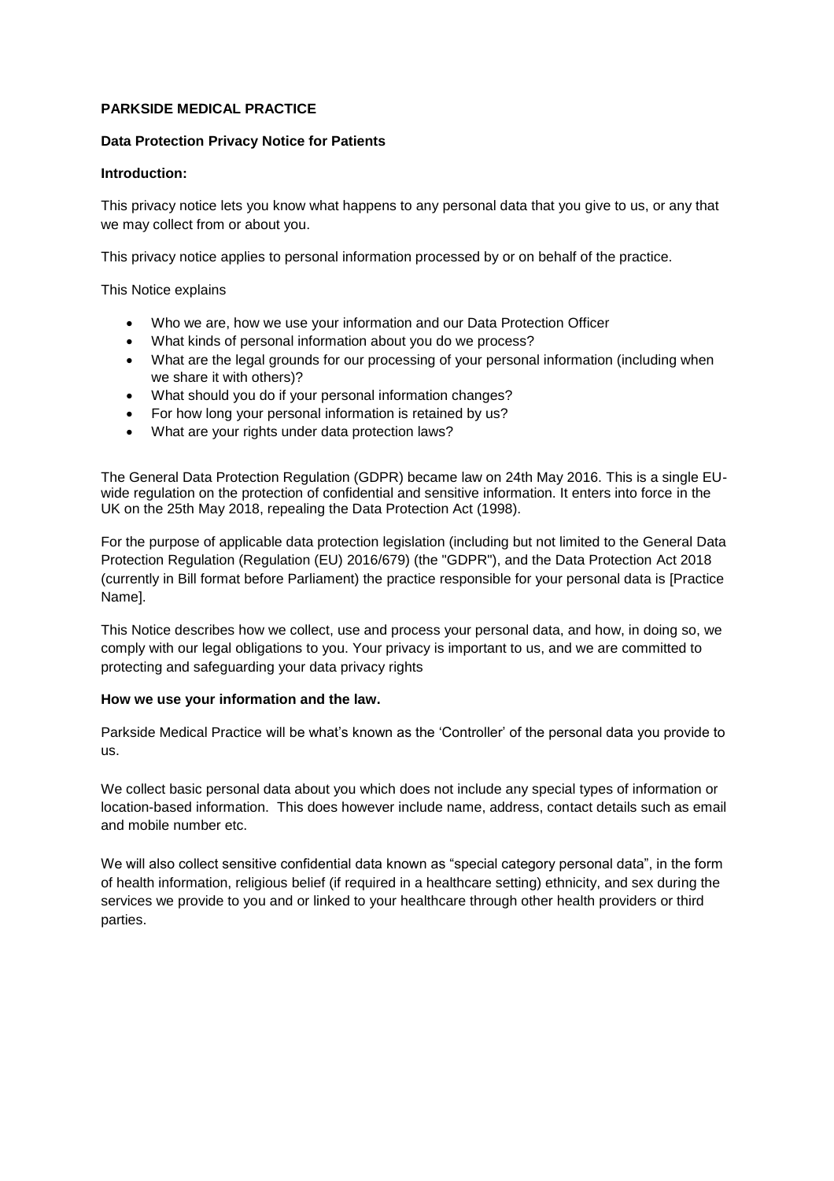## **PARKSIDE MEDICAL PRACTICE**

## **Data Protection Privacy Notice for Patients**

#### **Introduction:**

 This privacy notice lets you know what happens to any personal data that you give to us, or any that we may collect from or about you.

This privacy notice applies to personal information processed by or on behalf of the practice.

This Notice explains

- Who we are, how we use your information and our Data Protection Officer
- What kinds of personal information about you do we process?
- What are the legal grounds for our processing of your personal information (including when we share it with others)?
- What should you do if your personal information changes?
- For how long your personal information is retained by us?
- What are your rights under data protection laws?

 The General Data Protection Regulation (GDPR) became law on 24th May 2016. This is a single EU- UK on the 25th May 2018, repealing the Data Protection Act (1998). wide regulation on the protection of confidential and sensitive information. It enters into force in the

 Protection Regulation (Regulation (EU) 2016/679) (the "GDPR"), and the Data Protection Act 2018 (currently in Bill format before Parliament) the practice responsible for your personal data is [Practice For the purpose of applicable data protection legislation (including but not limited to the General Data Name].

 comply with our legal obligations to you. Your privacy is important to us, and we are committed to This Notice describes how we collect, use and process your personal data, and how, in doing so, we protecting and safeguarding your data privacy rights

#### **How we use your information and the law.**

Parkside Medical Practice will be what's known as the 'Controller' of the personal data you provide to us.

We collect basic personal data about you which does not include any special types of information or location-based information. This does however include name, address, contact details such as email and mobile number etc.

 services we provide to you and or linked to your healthcare through other health providers or third We will also collect sensitive confidential data known as "special category personal data", in the form of health information, religious belief (if required in a healthcare setting) ethnicity, and sex during the parties.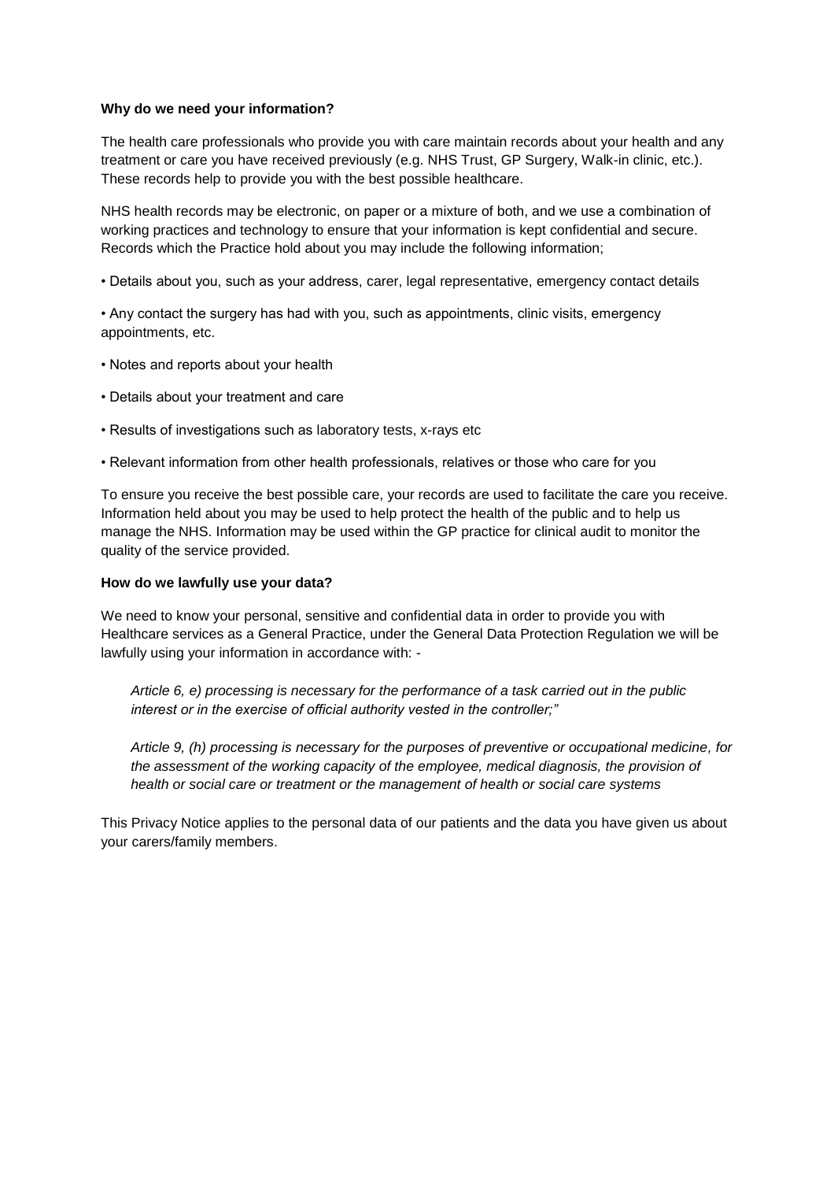### **Why do we need your information?**

 These records help to provide you with the best possible healthcare. The health care professionals who provide you with care maintain records about your health and any treatment or care you have received previously (e.g. NHS Trust, GP Surgery, Walk-in clinic, etc.).

 Records which the Practice hold about you may include the following information; NHS health records may be electronic, on paper or a mixture of both, and we use a combination of working practices and technology to ensure that your information is kept confidential and secure.

• Details about you, such as your address, carer, legal representative, emergency contact details

• Any contact the surgery has had with you, such as appointments, clinic visits, emergency appointments, etc.

- Notes and reports about your health
- Details about your treatment and care
- Results of investigations such as laboratory tests, x-rays etc
- Relevant information from other health professionals, relatives or those who care for you

 Information held about you may be used to help protect the health of the public and to help us manage the NHS. Information may be used within the GP practice for clinical audit to monitor the To ensure you receive the best possible care, your records are used to facilitate the care you receive. quality of the service provided.

#### **How do we lawfully use your data?**

 We need to know your personal, sensitive and confidential data in order to provide you with lawfully using your information in accordance with: - Healthcare services as a General Practice, under the General Data Protection Regulation we will be

*Article 6, e) processing is necessary for the performance of a task carried out in the public interest or in the exercise of official authority vested in the controller;"*

 *health or social care or treatment or the management of health or social care systems Article 9, (h) processing is necessary for the purposes of preventive or occupational medicine, for the assessment of the working capacity of the employee, medical diagnosis, the provision of* 

 This Privacy Notice applies to the personal data of our patients and the data you have given us about your carers/family members.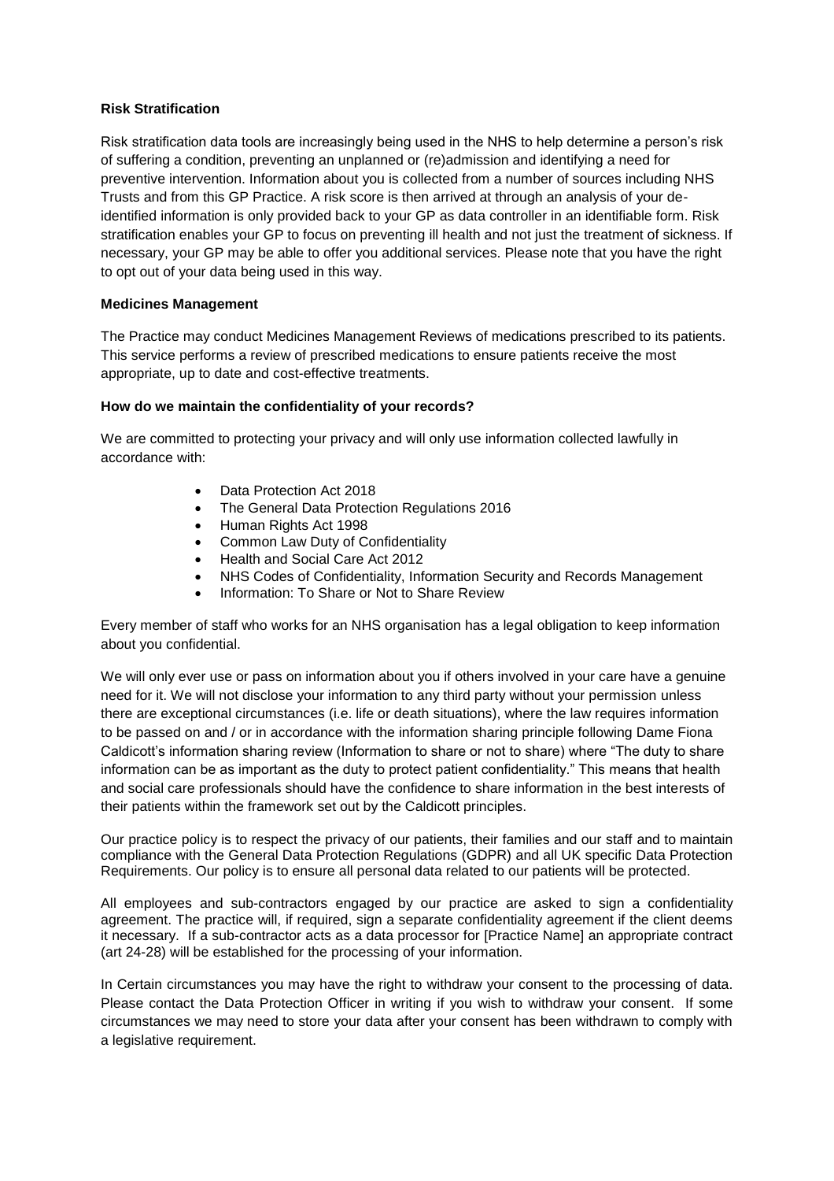# **Risk Stratification**

 Trusts and from this GP Practice. A risk score is then arrived at through an analysis of your de- identified information is only provided back to your GP as data controller in an identifiable form. Risk stratification enables your GP to focus on preventing ill health and not just the treatment of sickness. If to opt out of your data being used in this way. Risk stratification data tools are increasingly being used in the NHS to help determine a person's risk of suffering a condition, preventing an unplanned or (re)admission and identifying a need for preventive intervention. Information about you is collected from a number of sources including NHS necessary, your GP may be able to offer you additional services. Please note that you have the right

## **Medicines Management**

The Practice may conduct Medicines Management Reviews of medications prescribed to its patients. This service performs a review of prescribed medications to ensure patients receive the most appropriate, up to date and cost-effective treatments.

## **How do we maintain the confidentiality of your records?**

 accordance with: We are committed to protecting your privacy and will only use information collected lawfully in

- Data Protection Act 2018
- The General Data Protection Regulations 2016
- Human Rights Act 1998
- Common Law Duty of Confidentiality
- Health and Social Care Act 2012
- NHS Codes of Confidentiality, Information Security and Records Management
- Information: To Share or Not to Share Review

 Information: To Share or Not to Share Review Every member of staff who works for an NHS organisation has a legal obligation to keep information about you confidential.

 We will only ever use or pass on information about you if others involved in your care have a genuine need for it. We will not disclose your information to any third party without your permission unless to be passed on and / or in accordance with the information sharing principle following Dame Fiona Caldicott's information sharing review (Information to share or not to share) where "The duty to share their patients within the framework set out by the Caldicott principles. there are exceptional circumstances (i.e. life or death situations), where the law requires information information can be as important as the duty to protect patient confidentiality." This means that health and social care professionals should have the confidence to share information in the best interests of

 Our practice policy is to respect the privacy of our patients, their families and our staff and to maintain compliance with the General Data Protection Regulations (GDPR) and all UK specific Data Protection Requirements. Our policy is to ensure all personal data related to our patients will be protected.

 All employees and sub-contractors engaged by our practice are asked to sign a confidentiality agreement. The practice will, if required, sign a separate confidentiality agreement if the client deems it necessary. If a sub-contractor acts as a data processor for [Practice Name] an appropriate contract (art 24-28) will be established for the processing of your information.

 In Certain circumstances you may have the right to withdraw your consent to the processing of data. Please contact the Data Protection Officer in writing if you wish to withdraw your consent. If some circumstances we may need to store your data after your consent has been withdrawn to comply with a legislative requirement.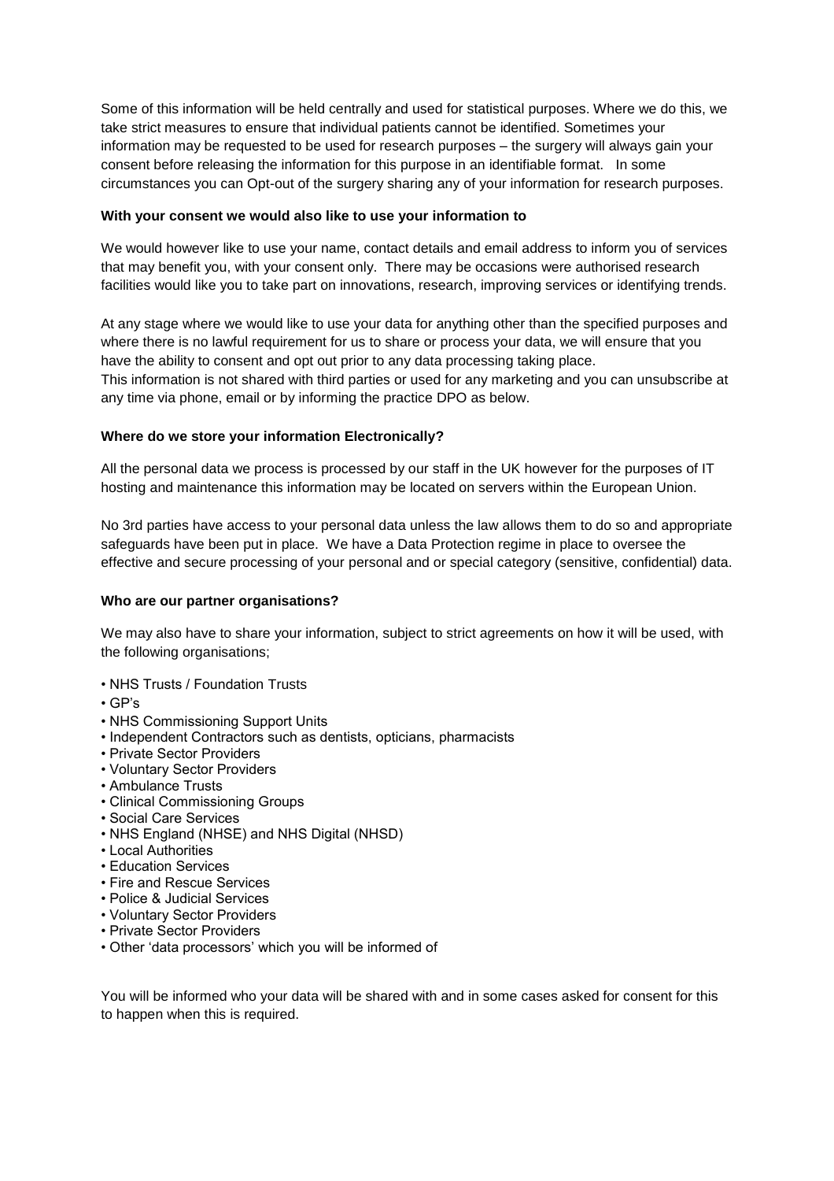take strict measures to ensure that individual patients cannot be identified. Sometimes your information may be requested to be used for research purposes – the surgery will always gain your consent before releasing the information for this purpose in an identifiable format. In some circumstances you can Opt-out of the surgery sharing any of your information for research purposes. Some of this information will be held centrally and used for statistical purposes. Where we do this, we

### **With your consent we would also like to use your information to**

 We would however like to use your name, contact details and email address to inform you of services that may benefit you, with your consent only. There may be occasions were authorised research facilities would like you to take part on innovations, research, improving services or identifying trends.

 have the ability to consent and opt out prior to any data processing taking place. any time via phone, email or by informing the practice DPO as below. At any stage where we would like to use your data for anything other than the specified purposes and where there is no lawful requirement for us to share or process your data, we will ensure that you This information is not shared with third parties or used for any marketing and you can unsubscribe at

### **Where do we store your information Electronically?**

 hosting and maintenance this information may be located on servers within the European Union. All the personal data we process is processed by our staff in the UK however for the purposes of IT

 effective and secure processing of your personal and or special category (sensitive, confidential) data. No 3rd parties have access to your personal data unless the law allows them to do so and appropriate safeguards have been put in place. We have a Data Protection regime in place to oversee the

#### **Who are our partner organisations?**

We may also have to share your information, subject to strict agreements on how it will be used, with the following organisations;

- NHS Trusts / Foundation Trusts
- GP's
- NHS Commissioning Support Units
- Independent Contractors such as dentists, opticians, pharmacists
- Private Sector Providers
- Voluntary Sector Providers
- Ambulance Trusts
- Clinical Commissioning Groups
- Social Care Services
- NHS England (NHSE) and NHS Digital (NHSD)
- Local Authorities
- Education Services
- Fire and Rescue Services
- Police & Judicial Services
- Voluntary Sector Providers
- Private Sector Providers
- Other 'data processors' which you will be informed of

 You will be informed who your data will be shared with and in some cases asked for consent for this to happen when this is required.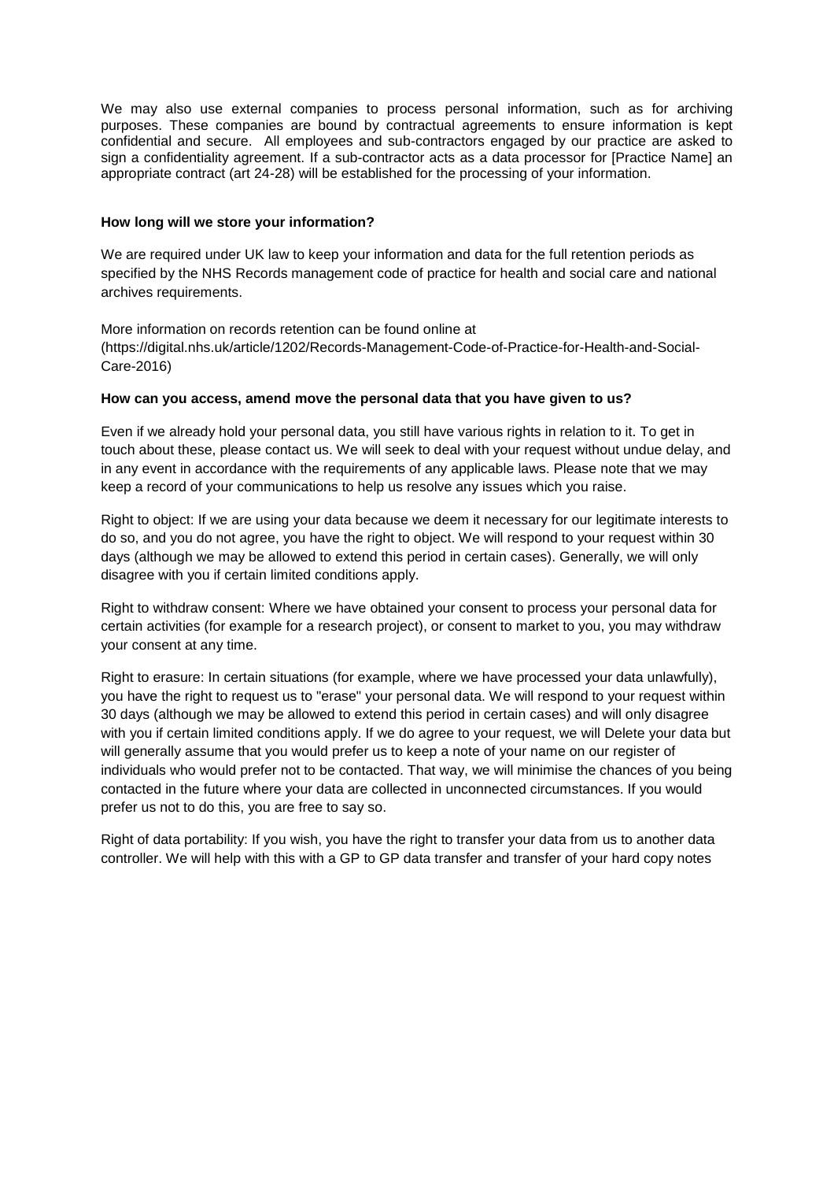We may also use external companies to process personal information, such as for archiving purposes. These companies are bound by contractual agreements to ensure information is kept confidential and secure. All employees and sub-contractors engaged by our practice are asked to sign a confidentiality agreement. If a sub-contractor acts as a data processor for [Practice Name] an appropriate contract (art 24-28) will be established for the processing of your information.

## **How long will we store your information?**

 We are required under UK law to keep your information and data for the full retention periods as specified by the NHS Records management code of practice for health and social care and national archives requirements.

 More information on records retention can be found online at [\(https://digital.nhs.uk/article/1202/Records-Management-Code-of-Practice-for-Health-and-Social](https://digital.nhs.uk/article/1202/Records-Management-Code-of-Practice-for-Health-and-Social)-Care-2016)

### **How can you access, amend move the personal data that you have given to us?**

 Even if we already hold your personal data, you still have various rights in relation to it. To get in keep a record of your communications to help us resolve any issues which you raise. touch about these, please contact us. We will seek to deal with your request without undue delay, and in any event in accordance with the requirements of any applicable laws. Please note that we may

 Right to object: If we are using your data because we deem it necessary for our legitimate interests to days (although we may be allowed to extend this period in certain cases). Generally, we will only do so, and you do not agree, you have the right to object. We will respond to your request within 30 disagree with you if certain limited conditions apply.

 Right to withdraw consent: Where we have obtained your consent to process your personal data for certain activities (for example for a research project), or consent to market to you, you may withdraw your consent at any time.

 you have the right to request us to "erase" your personal data. We will respond to your request within will generally assume that you would prefer us to keep a note of your name on our register of individuals who would prefer not to be contacted. That way, we will minimise the chances of you being contacted in the future where your data are collected in unconnected circumstances. If you would Right to erasure: In certain situations (for example, where we have processed your data unlawfully), 30 days (although we may be allowed to extend this period in certain cases) and will only disagree with you if certain limited conditions apply. If we do agree to your request, we will Delete your data but prefer us not to do this, you are free to say so.

 Right of data portability: If you wish, you have the right to transfer your data from us to another data controller. We will help with this with a GP to GP data transfer and transfer of your hard copy notes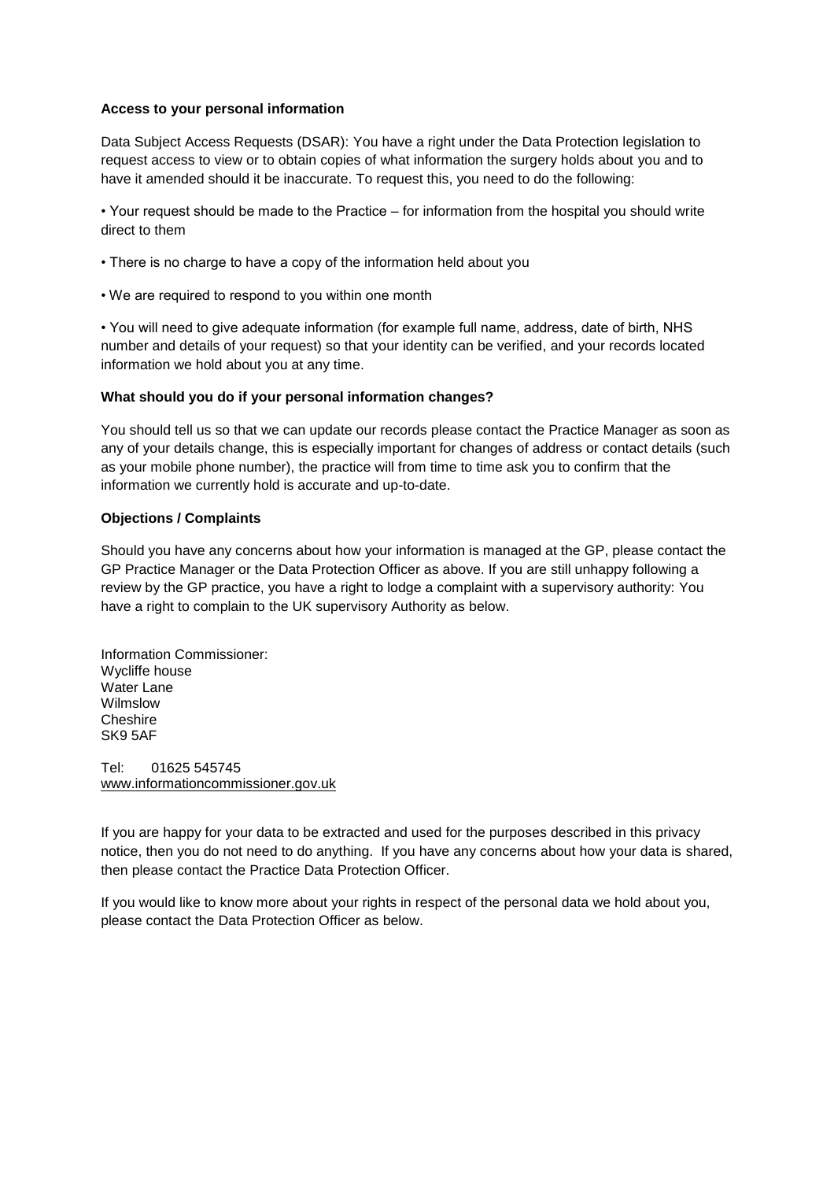## **Access to your personal information**

 request access to view or to obtain copies of what information the surgery holds about you and to have it amended should it be inaccurate. To request this, you need to do the following: Data Subject Access Requests (DSAR): You have a right under the Data Protection legislation to

direct to them • Your request should be made to the Practice – for information from the hospital you should write

- There is no charge to have a copy of the information held about you
- We are required to respond to you within one month

 number and details of your request) so that your identity can be verified, and your records located • You will need to give adequate information (for example full name, address, date of birth, NHS information we hold about you at any time.

# **What should you do if your personal information changes?**

 any of your details change, this is especially important for changes of address or contact details (such You should tell us so that we can update our records please contact the Practice Manager as soon as as your mobile phone number), the practice will from time to time ask you to confirm that the information we currently hold is accurate and up-to-date.

# **Objections / Complaints**

 Should you have any concerns about how your information is managed at the GP, please contact the review by the GP practice, you have a right to lodge a complaint with a supervisory authority: You have a right to complain to the UK supervisory Authority as below. GP Practice Manager or the Data Protection Officer as above. If you are still unhappy following a

Information Commissioner: Wycliffe house Water Lane Wilmslow **Cheshire** SK9 5AF

Tel: 01625 545745 [www.informationc](http://www.information/)ommissioner.gov.uk

 notice, then you do not need to do anything. If you have any concerns about how your data is shared, If you are happy for your data to be extracted and used for the purposes described in this privacy then please contact the Practice Data Protection Officer.

 If you would like to know more about your rights in respect of the personal data we hold about you, please contact the Data Protection Officer as below.